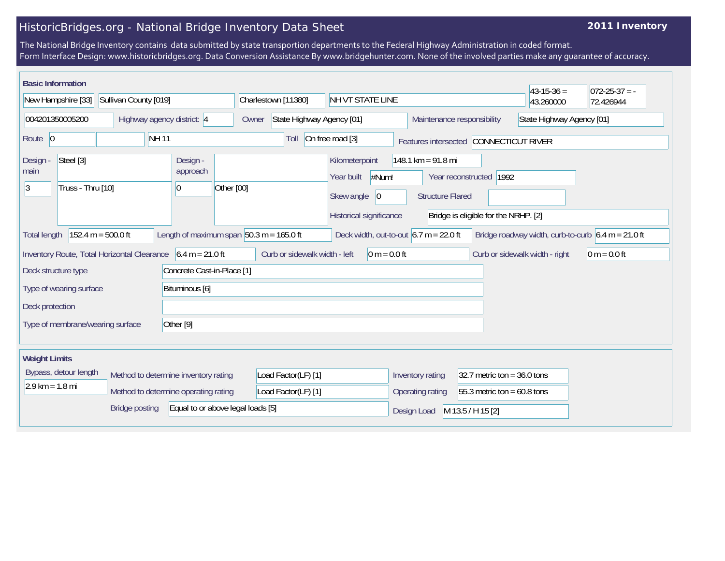## HistoricBridges.org - National Bridge Inventory Data Sheet

## **2011 Inventory**

The National Bridge Inventory contains data submitted by state transportion departments to the Federal Highway Administration in coded format. Form Interface Design: www.historicbridges.org. Data Conversion Assistance By www.bridgehunter.com. None of the involved parties make any guarantee of accuracy.

| <b>Basic Information</b><br>New Hampshire [33]                                                                                                                                        | Sullivan County [019]                                                                                                                                                                                                    |                                            | Charlestown [11380]                                                                           | NH VT STATE LINE                                        |                                                                 |                           | $43 - 15 - 36 =$<br>43.260000  | $ 072-25-37 = -$<br>72.426944 |
|---------------------------------------------------------------------------------------------------------------------------------------------------------------------------------------|--------------------------------------------------------------------------------------------------------------------------------------------------------------------------------------------------------------------------|--------------------------------------------|-----------------------------------------------------------------------------------------------|---------------------------------------------------------|-----------------------------------------------------------------|---------------------------|--------------------------------|-------------------------------|
| 004201350005200<br>Highway agency district: 4                                                                                                                                         |                                                                                                                                                                                                                          |                                            | Owner                                                                                         | State Highway Agency [01]<br>Maintenance responsibility |                                                                 | State Highway Agency [01] |                                |                               |
| <b>NH11</b><br>Route 0                                                                                                                                                                |                                                                                                                                                                                                                          |                                            | Toll                                                                                          | On free road [3]                                        | Features intersected CONNECTICUT RIVER                          |                           |                                |                               |
| Steel [3]<br>Design -<br>Design -<br>approach<br>main<br>Truss - Thru [10]<br>Other [00]<br> 3<br>$\vert 0 \vert$                                                                     |                                                                                                                                                                                                                          |                                            | Kilometerpoint<br>#Num!<br>Year built<br>Skew angle<br>$ 0\rangle$<br>Historical significance | 148.1 km = 91.8 mi<br><b>Structure Flared</b>           | Year reconstructed 1992<br>Bridge is eligible for the NRHP. [2] |                           |                                |                               |
| <b>Total length</b>                                                                                                                                                                   | Length of maximum span $ 50.3 \text{ m} = 165.0 \text{ ft} $<br>$152.4 m = 500.0 ft$<br>Deck width, out-to-out $6.7 \text{ m} = 22.0 \text{ ft}$<br>Bridge roadway width, curb-to-curb $6.4 \text{ m} = 21.0 \text{ ft}$ |                                            |                                                                                               |                                                         |                                                                 |                           |                                |                               |
| Inventory Route, Total Horizontal Clearance<br>$6.4 m = 21.0 ft$<br>Concrete Cast-in-Place [1]<br>Deck structure type<br>Type of wearing surface<br>Bituminous [6]<br>Deck protection |                                                                                                                                                                                                                          |                                            | Curb or sidewalk width - left                                                                 | $0 m = 0.0 ft$                                          |                                                                 |                           | Curb or sidewalk width - right | $0 m = 0.0 ft$                |
| Type of membrane/wearing surface<br>Other [9]                                                                                                                                         |                                                                                                                                                                                                                          |                                            |                                                                                               |                                                         |                                                                 |                           |                                |                               |
| <b>Weight Limits</b>                                                                                                                                                                  |                                                                                                                                                                                                                          |                                            |                                                                                               |                                                         |                                                                 |                           |                                |                               |
| Bypass, detour length<br>Method to determine inventory rating<br>$2.9 \text{ km} = 1.8 \text{ mi}$<br>Method to determine operating rating                                            |                                                                                                                                                                                                                          | Load Factor(LF) [1]<br>Load Factor(LF) [1] |                                                                                               | Inventory rating<br>Operating rating                    | 32.7 metric ton = $36.0$ tons<br>55.3 metric ton = $60.8$ tons  |                           |                                |                               |
|                                                                                                                                                                                       | <b>Bridge posting</b>                                                                                                                                                                                                    | Equal to or above legal loads [5]          |                                                                                               |                                                         | Design Load                                                     | M 13.5 / H 15 [2]         |                                |                               |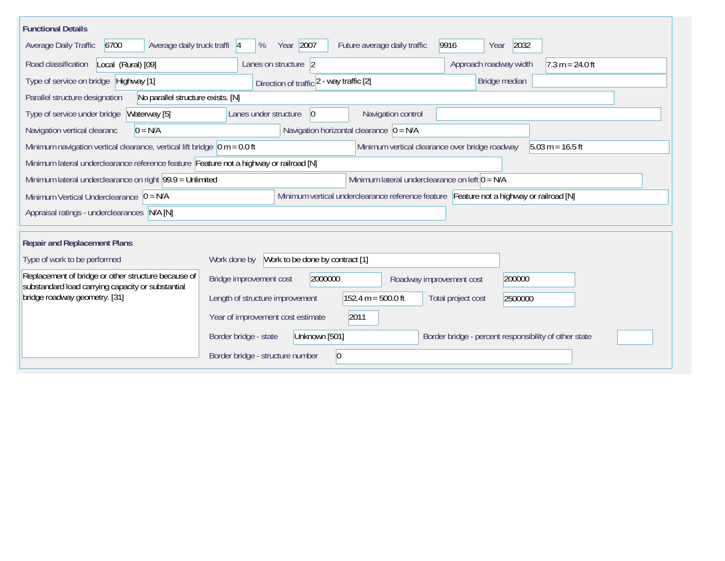| <b>Functional Details</b>                                                                                |                                                                                                                  |                                                |                               |                                                       |  |  |  |
|----------------------------------------------------------------------------------------------------------|------------------------------------------------------------------------------------------------------------------|------------------------------------------------|-------------------------------|-------------------------------------------------------|--|--|--|
| 6700<br>Average daily truck traffi  4<br>Average Daily Traffic                                           | Year 2007<br>%                                                                                                   | Future average daily traffic                   | 2032<br>9916<br>Year          |                                                       |  |  |  |
| Road classification<br>Local (Rural) [09]                                                                | Lanes on structure 2                                                                                             |                                                | Approach roadway width        | $7.3 m = 24.0 ft$                                     |  |  |  |
| Type of service on bridge Highway [1]                                                                    | Direction of traffic 2 - way traffic [2]                                                                         |                                                | Bridge median                 |                                                       |  |  |  |
| Parallel structure designation<br>No parallel structure exists. [N]                                      |                                                                                                                  |                                                |                               |                                                       |  |  |  |
| Waterway [5]<br>Type of service under bridge                                                             | Lanes under structure<br>$\vert 0 \vert$                                                                         | Navigation control                             |                               |                                                       |  |  |  |
| $0 = N/A$<br>Navigation vertical clearanc                                                                | Navigation horizontal clearance $\vert 0 = N/A \vert$                                                            |                                                |                               |                                                       |  |  |  |
| Minimum navigation vertical clearance, vertical lift bridge $\vert$ 0 m = 0.0 ft                         |                                                                                                                  | Minimum vertical clearance over bridge roadway |                               | $5.03 m = 16.5 ft$                                    |  |  |  |
| Minimum lateral underclearance reference feature Feature not a highway or railroad [N]                   |                                                                                                                  |                                                |                               |                                                       |  |  |  |
|                                                                                                          | Minimum lateral underclearance on left $0 = N/A$<br>Minimum lateral underclearance on right $ 99.9 $ = Unlimited |                                                |                               |                                                       |  |  |  |
| Minimum Vertical Underclearance $ 0 = N/A$                                                               | Minimum vertical underclearance reference feature Feature not a highway or railroad [N]                          |                                                |                               |                                                       |  |  |  |
| Appraisal ratings - underclearances N/A [N]                                                              |                                                                                                                  |                                                |                               |                                                       |  |  |  |
|                                                                                                          |                                                                                                                  |                                                |                               |                                                       |  |  |  |
|                                                                                                          | <b>Repair and Replacement Plans</b>                                                                              |                                                |                               |                                                       |  |  |  |
| Type of work to be performed                                                                             | Work to be done by contract [1]<br>Work done by                                                                  |                                                |                               |                                                       |  |  |  |
| Replacement of bridge or other structure because of<br>substandard load carrying capacity or substantial | Bridge improvement cost<br>2000000                                                                               | Roadway improvement cost                       | 200000                        |                                                       |  |  |  |
| bridge roadway geometry. [31]                                                                            | Length of structure improvement                                                                                  | $152.4 m = 500.0 ft$                           | Total project cost<br>2500000 |                                                       |  |  |  |
|                                                                                                          | Year of improvement cost estimate                                                                                | 2011                                           |                               |                                                       |  |  |  |
|                                                                                                          | Unknown [501]<br>Border bridge - state                                                                           |                                                |                               | Border bridge - percent responsibility of other state |  |  |  |
|                                                                                                          | Border bridge - structure number                                                                                 | 0                                              |                               |                                                       |  |  |  |